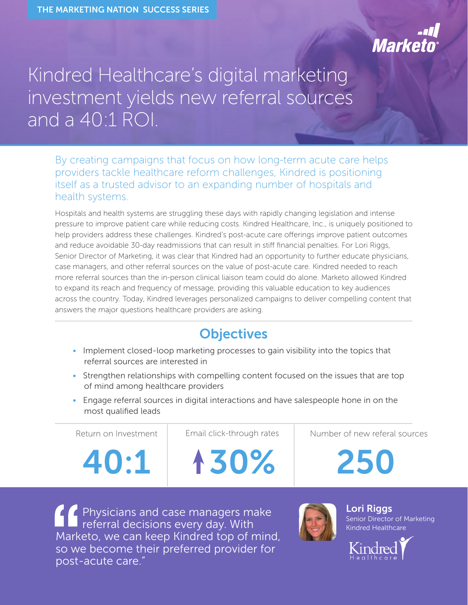# **Marke**

## Kindred Healthcare's digital marketing investment yields new referral sources and a 40:1 ROI.

By creating campaigns that focus on how long-term acute care helps providers tackle healthcare reform challenges, Kindred is positioning itself as a trusted advisor to an expanding number of hospitals and health systems.

Hospitals and health systems are struggling these days with rapidly changing legislation and intense pressure to improve patient care while reducing costs. Kindred Healthcare, Inc., is uniquely positioned to help providers address these challenges. Kindred's post-acute care offerings improve patient outcomes and reduce avoidable 30-day readmissions that can result in stiff financial penalties. For Lori Riggs, Senior Director of Marketing, it was clear that Kindred had an opportunity to further educate physicians, case managers, and other referral sources on the value of post-acute care. Kindred needed to reach more referral sources than the in-person clinical liaison team could do alone. Marketo allowed Kindred to expand its reach and frequency of message, providing this valuable education to key audiences across the country. Today, Kindred leverages personalized campaigns to deliver compelling content that answers the major questions healthcare providers are asking.

## **Objectives**

- Implement closed-loop marketing processes to gain visibility into the topics that referral sources are interested in
- Strengthen relationships with compelling content focused on the issues that are top of mind among healthcare providers
- Engage referral sources in digital interactions and have salespeople hone in on the most qualified leads

| Return on Investment | Email click-through rates | Number of new referal sources |
|----------------------|---------------------------|-------------------------------|
| 40:1                 | 130%                      | 250                           |
|                      |                           |                               |

Physicians and case managers make referral decisions every day. With Marketo, we can keep Kindred top of mind, so we become their preferred provider for post-acute care."



**Lori Riggs** Senior Director of Marketing Kindred Healthcare